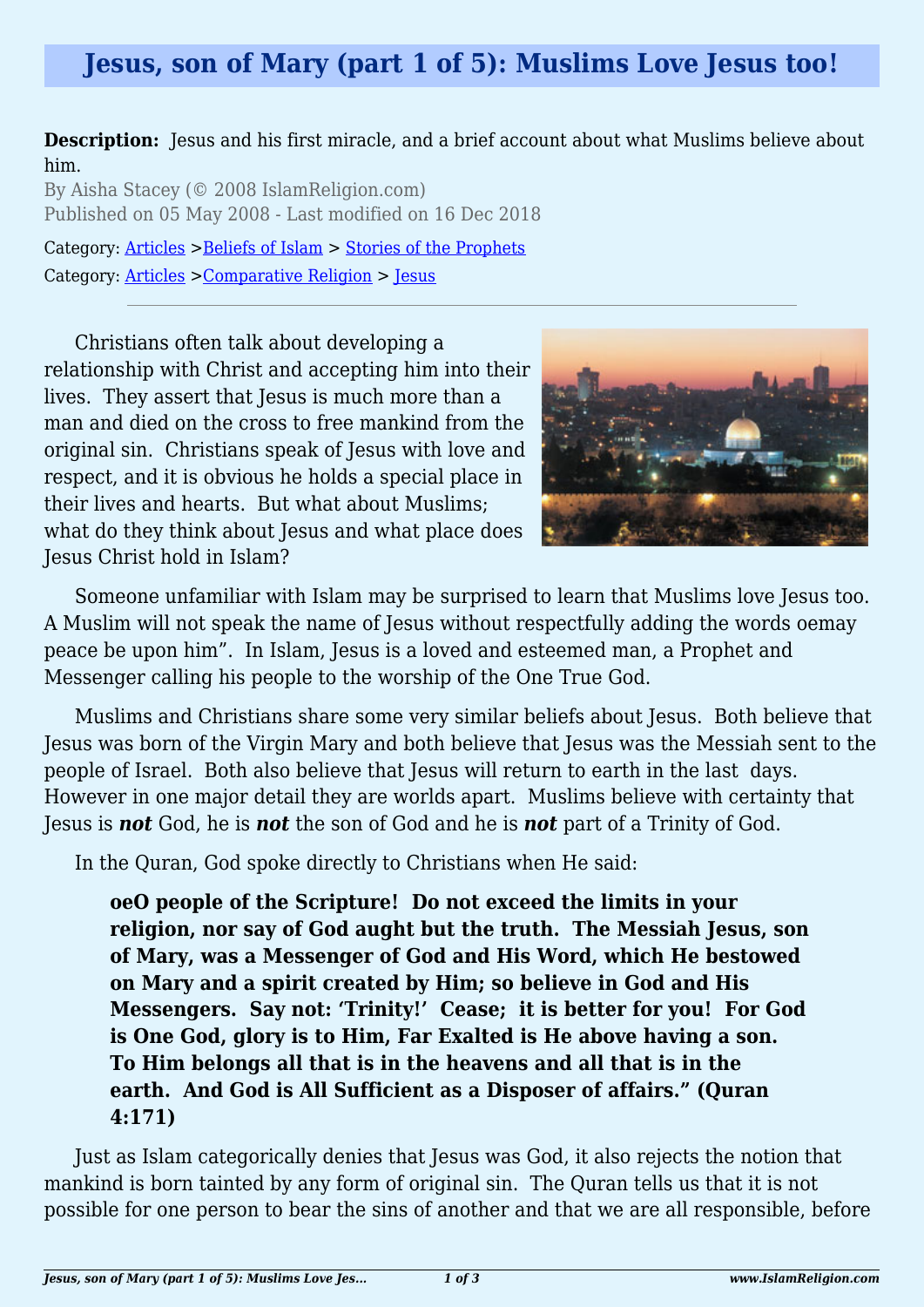# **Jesus, son of Mary (part 1 of 5): Muslims Love Jesus too!**

**Description:** Jesus and his first miracle, and a brief account about what Muslims believe about him.

By Aisha Stacey (© 2008 IslamReligion.com) Published on 05 May 2008 - Last modified on 16 Dec 2018 Category: [Articles](http://www.islamreligion.com/articles/) >[Beliefs of Islam](http://www.islamreligion.com/category/48/) > [Stories of the Prophets](http://www.islamreligion.com/category/53/)

Category: [Articles](http://www.islamreligion.com/articles/) >[Comparative Religion](http://www.islamreligion.com/category/68/) > [Jesus](http://www.islamreligion.com/category/69/)

Christians often talk about developing a relationship with Christ and accepting him into their lives. They assert that Jesus is much more than a man and died on the cross to free mankind from the original sin. Christians speak of Jesus with love and respect, and it is obvious he holds a special place in their lives and hearts. But what about Muslims; what do they think about Jesus and what place does Jesus Christ hold in Islam?



Someone unfamiliar with Islam may be surprised to learn that Muslims love Jesus too. A Muslim will not speak the name of Jesus without respectfully adding the words oemay peace be upon him". In Islam, Jesus is a loved and esteemed man, a Prophet and Messenger calling his people to the worship of the One True God.

Muslims and Christians share some very similar beliefs about Jesus. Both believe that Jesus was born of the Virgin Mary and both believe that Jesus was the Messiah sent to the people of Israel. Both also believe that Jesus will return to earth in the last days. However in one major detail they are worlds apart. Muslims believe with certainty that Jesus is *not* God, he is *not* the son of God and he is *not* part of a Trinity of God.

In the Quran, God spoke directly to Christians when He said:

**oeO people of the Scripture! Do not exceed the limits in your religion, nor say of God aught but the truth. The Messiah Jesus, son of Mary, was a Messenger of God and His Word, which He bestowed on Mary and a spirit created by Him; so believe in God and His Messengers. Say not: 'Trinity!' Cease; it is better for you! For God is One God, glory is to Him, Far Exalted is He above having a son. To Him belongs all that is in the heavens and all that is in the earth. And God is All Sufficient as a Disposer of affairs." (Quran 4:171)**

Just as Islam categorically denies that Jesus was God, it also rejects the notion that mankind is born tainted by any form of original sin. The Quran tells us that it is not possible for one person to bear the sins of another and that we are all responsible, before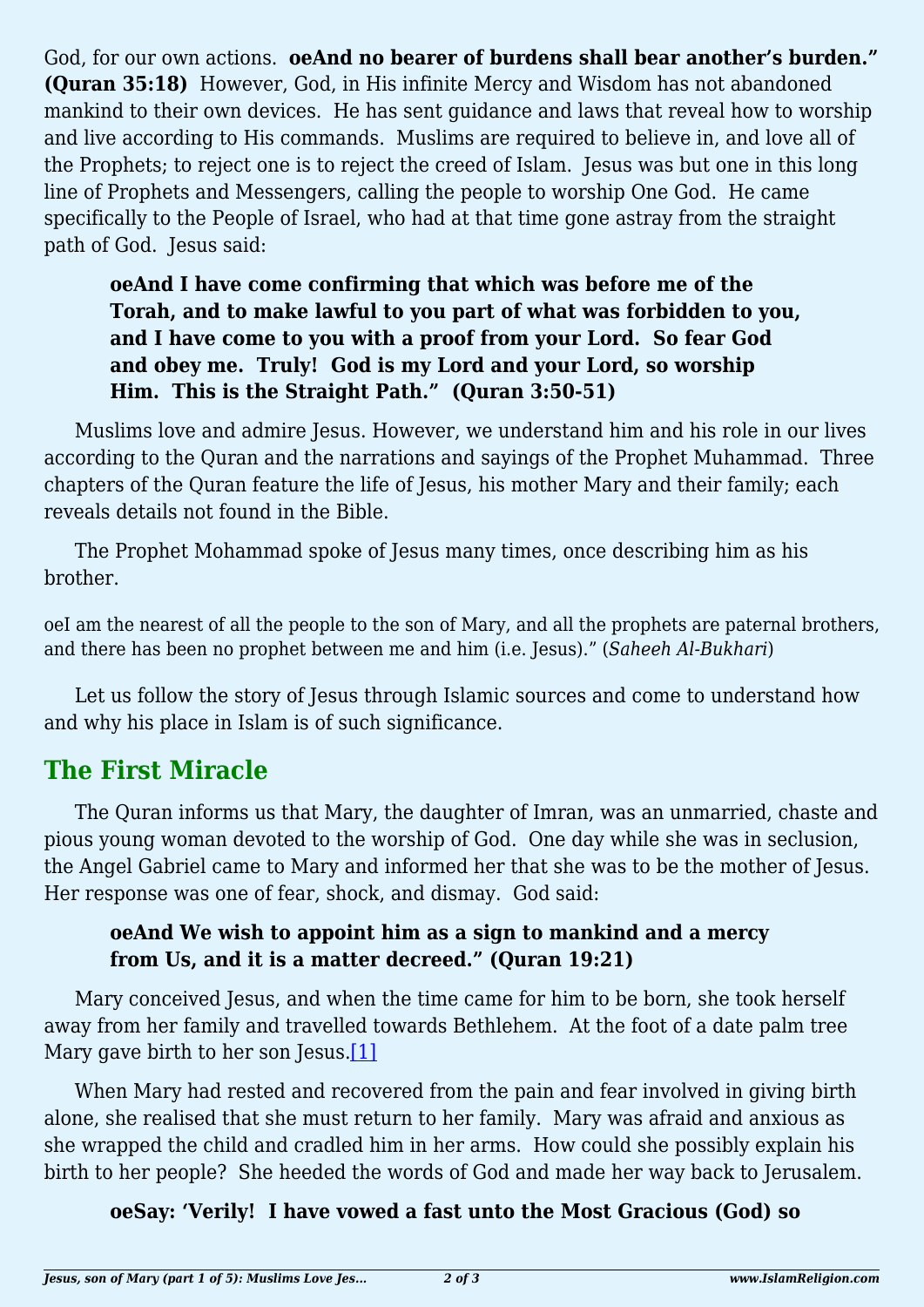God, for our own actions. **oeAnd no bearer of burdens shall bear another's burden." (Quran 35:18)** However, God, in His infinite Mercy and Wisdom has not abandoned mankind to their own devices. He has sent guidance and laws that reveal how to worship and live according to His commands. Muslims are required to believe in, and love all of the Prophets; to reject one is to reject the creed of Islam. Jesus was but one in this long line of Prophets and Messengers, calling the people to worship One God. He came specifically to the People of Israel, who had at that time gone astray from the straight path of God. Jesus said:

# **oeAnd I have come confirming that which was before me of the Torah, and to make lawful to you part of what was forbidden to you, and I have come to you with a proof from your Lord. So fear God and obey me. Truly! God is my Lord and your Lord, so worship Him. This is the Straight Path." (Quran 3:50-51)**

Muslims love and admire Jesus. However, we understand him and his role in our lives according to the Quran and the narrations and sayings of the Prophet Muhammad. Three chapters of the Quran feature the life of Jesus, his mother Mary and their family; each reveals details not found in the Bible.

The Prophet Mohammad spoke of Jesus many times, once describing him as his brother.

oeI am the nearest of all the people to the son of Mary, and all the prophets are paternal brothers, and there has been no prophet between me and him (i.e. Jesus)." (*Saheeh Al-Bukhari*)

Let us follow the story of Jesus through Islamic sources and come to understand how and why his place in Islam is of such significance.

# **The First Miracle**

The Quran informs us that Mary, the daughter of Imran, was an unmarried, chaste and pious young woman devoted to the worship of God. One day while she was in seclusion, the Angel Gabriel came to Mary and informed her that she was to be the mother of Jesus. Her response was one of fear, shock, and dismay. God said:

#### **oeAnd We wish to appoint him as a sign to mankind and a mercy from Us, and it is a matter decreed." (Quran 19:21)**

Mary conceived Jesus, and when the time came for him to be born, she took herself away from her family and travelled towards Bethlehem. At the foot of a date palm tree Mary gave birth to her son Jesus.<sup>[1]</sup>

<span id="page-1-0"></span>When Mary had rested and recovered from the pain and fear involved in giving birth alone, she realised that she must return to her family. Mary was afraid and anxious as she wrapped the child and cradled him in her arms. How could she possibly explain his birth to her people? She heeded the words of God and made her way back to Jerusalem.

# **oeSay: 'Verily! I have vowed a fast unto the Most Gracious (God) so**